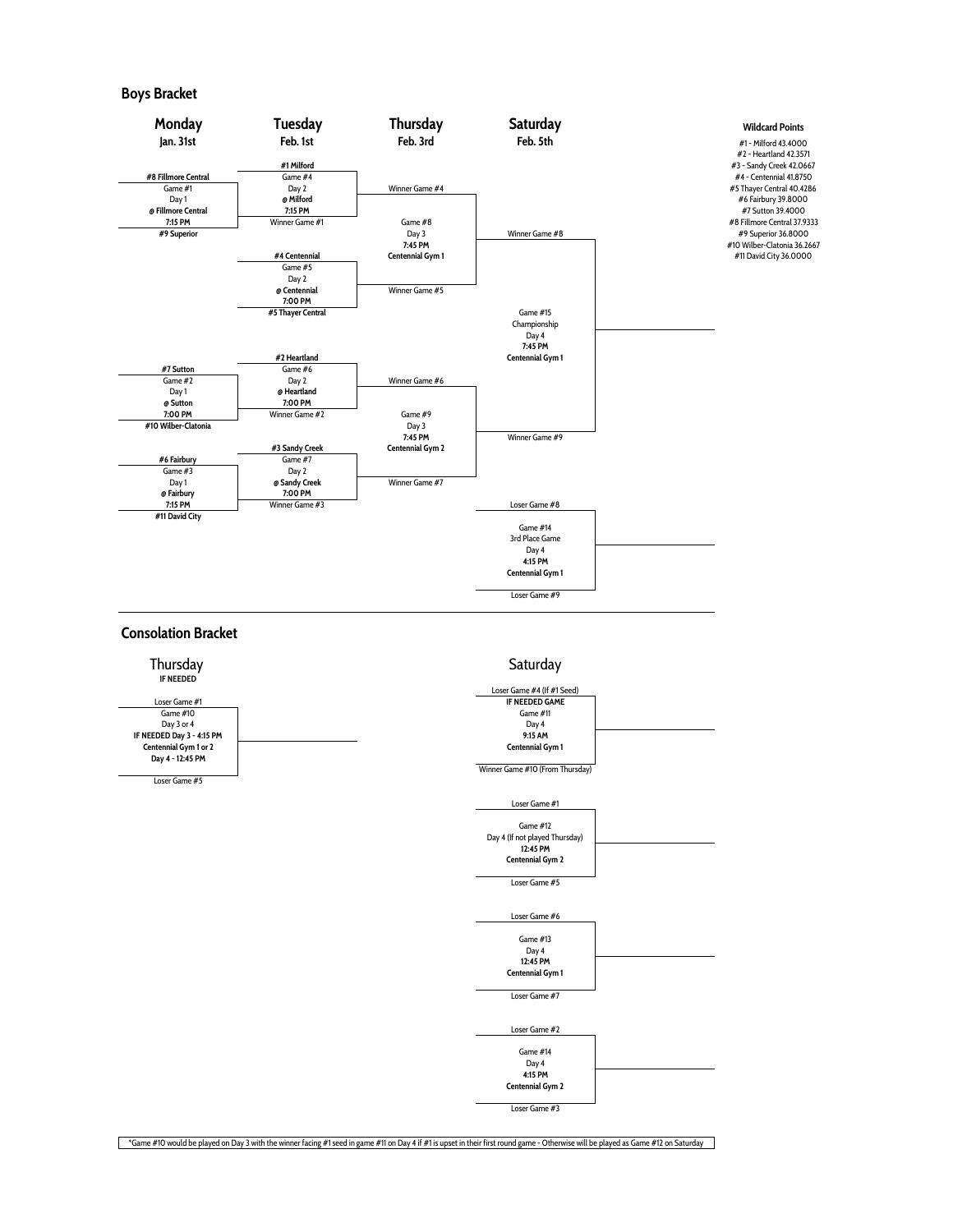## **Boys Bracket**







\*Game #10 would be played on Day 3 with the winner facing #1 seed in game #11 on Day 4 if #1 is upset in their first round game - Otherwise will be played as Game #12 on Saturday